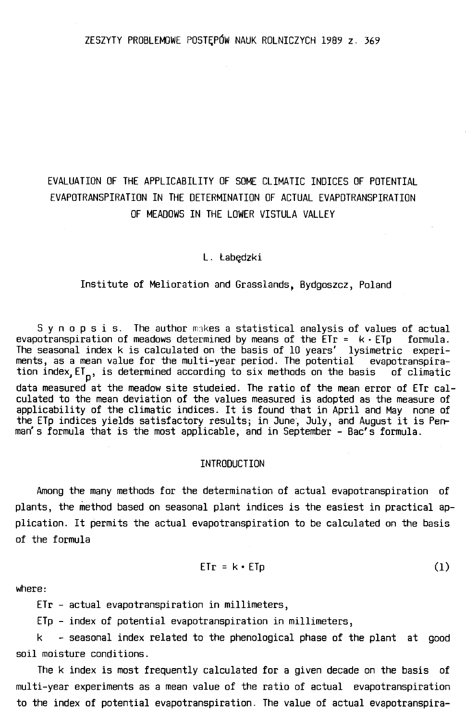# EVALUATION OF THE APPLICABILITY OF SOME CLIMATIC INOICES OF POTENTIAL EVAPOTRANSPIRATION IN THE DETERMINATION OF ACTUAL EVAPOTRANSPIRATION OF MEADOWS IN THE LOWER VISTULA VALLEY

#### L. Łabędzki

#### Institute of Melioration and Grasslands, Bydgoszcz, Poland

Synopsis. The author makes a statistical analysis of values of actual evapotranspiration of meadows determined by means of the  $E$ Tr =  $k \cdot E$ Tp formula. The seasonal index k is calculated on the basis of 10 years' lysimetric experiments, as a mean value for the multi-year period. The potentia! evapotranspiration index,  $ET_p$ , is determined according to six methods on the basis of climatic data measured at the meadow site studeied. The ratio of the mean error of ETr calculated to the mean deviation of the values measured is adopted as the measure of applicability of the climatic indices. It is found that in April and May none of the ETp indices yields satisfactory results; in June, July, and August it is Penman's formula that is the most applicable, and in September - Bac's formula.

### INTROOUCTION

Among the many methods for the determination of actual evapotranspiration of plants, the method based on seasonal plant indices is the easiest in practical application. It permits the actual evapotranspiration to be calculated on the basis of the formula

 $ETr = k \cdot ETr$  (1)

where:

ETr - actual evapotranspiration in millimeters,

ETp - index of potential evapotranspiration in millimeters,

k - seasonal index related to the phenological phase of the plant at good soil moisture conditions.

The k index is most frequently calculated for a given decade on the basis of multi-year experiments as a mean value of the ratio of actual evapotranspiration to the index of potential evapotranspiration. The value of actual evapotranspira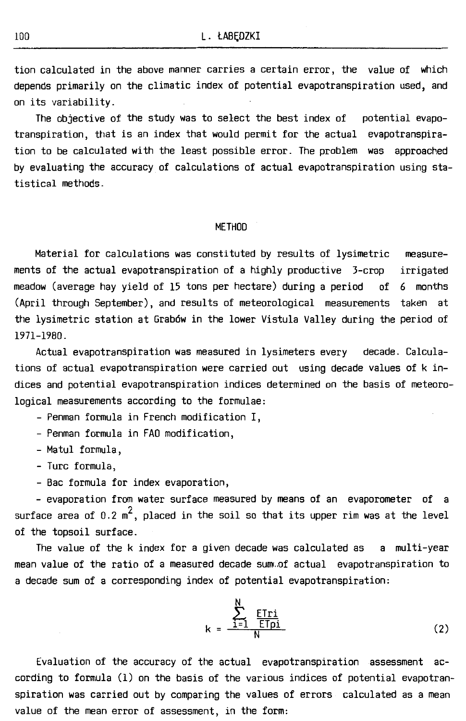tion calculated in the above manner carries a certain error, the value of which depends primarily on the climatic index of potential evapotranspiration used, and on its variability.

The objective of the study was to select the best index of potential evapotranspiration, that is an index that would permit for the actual evapotranspiration to be calculated with the least possible error. The problem was approached by evaluating the accuracy of calculations of actual evapotranspiration using statistical methods.

#### METHOD

Materiał for calculations was constituted by results of lysimetric measurements of the actual evapotranspiration of a highly productive 3-crop irrigated meadow (average hay yield of 15 tons per hectare) during a period of 6 months (April through September), and results of meteorological measurements taken at the lysimetric station at Grabów in the lower Vistula Valley during the period of 1971-1980.

Actual evapotranspiration was measured in lysimeters every decade. Calculations of actual evapotranspiration were carried out using decade values of kindices and potential evapotranspiration indices determined on the basis of meteorological measurements according to the formulae:

- Penman formula in French modification I,

- Penman formula in FAO modification,

- Matul formula,

- Turc formula,

- Bac formula for index evaporation,

- evaporation from water surface measured by means of an evaporometer of a surface area of 0.2  $m^2$ , placed in the soil so that its upper rim was at the level of the topsoil surface.

The value of the k index for a given decade was calculated as a multi-year mean value of the ratio of a measured decade sum.of actual evapotranspiration to a decade sum of a corresponding index of potential evapotranspiration:

$$
k = \frac{\sum_{i=1}^{N} \underbrace{ETri}}{N}
$$
 (2)

Evaluation of the accuracy of the actual evapotranspiration assessment according to formula (1) on the basis of the various indices of potential evapotranspiration was carried out by comparing the values of errors calculated as a mean value of the mean error of assessment, in the form: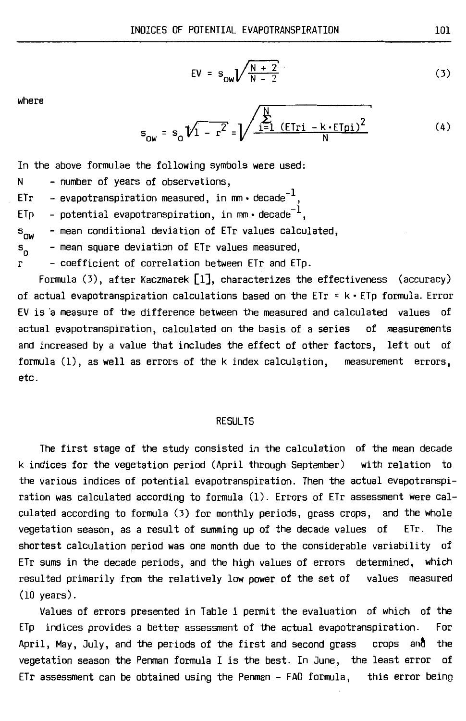$$
EV = s_{ow} \sqrt{\frac{N+2}{N-2}}
$$
 (3)

where

$$
s_{0w} = s_0 \sqrt{1 - r^2} = \sqrt{\frac{\sum_{i=1}^{N} (ETri - k \cdot ETpi)^2}{N}}
$$
 (4)

In the above formulae the following symbols were used:

N - number of years of observations,

ETr – evapotranspiration measured, in mm•decade $^{-1}$ 

ETp - potential evapotranspiration, in mm  $\cdot$  decade<sup>-1</sup>,

 $s_{\text{nw}}$ - mean conditional deviation of ETr values calculated,

s<sub>n</sub> - mean square deviation of ETr values measured,

r - coefficient of correlation between ETr and ETp.

Formula (3), after Kaczmarek [1], characterizes the effectiveness (accuracy) of actual evapotranspiration calculations based on the  $ETr = k \cdot ETp$  formula. Error EV is a measure of the difference between the measured and calculated values of actual evapotranspiration, calculated on the basis of a series of measurements and increased by a value that includes the effect of other factors, left out of formula (1), as well as errors of the k index calculation, measurement errors, etc.

#### RESULTS

The first stage of the study consisted in the calculation of the mean decade k indices for the vegetation period (April through September) with relation to the various indices of potential evapotranspiration. Then the actual evapotranspiration was calculated according to formula (1). Errors of ETr assessment were calculated according to formula (3) for monthly periods, grass crops, and the whole vegetation season, as a result of summing up of the decade values of ETr. The shortest calculation period was one month due to the considerable variability of ETr sums in the decade periods, and the high values of errors determined, which resulted primarily from the relatively low power of the set of values measured (10 years).

Values of errors presented in Table 1 permit the evaluation of which of the ETp indices provides a better assessment of the actual evapotranspiration. For April, May, July, and the periods of the first and second grass  $\>$  crops  $\>$  and  $\>$  the vegetation season the Penman formula I is the best. In June, the least error of ETr assessment can be obtained using the Penman - FAO formula, this error being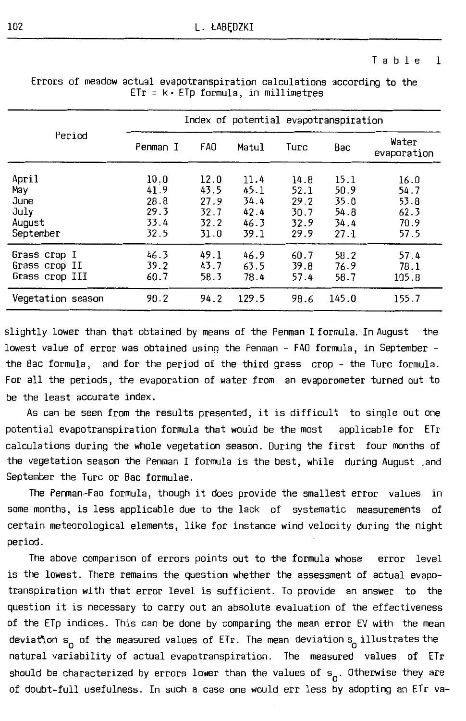#### Table 1

|                                                     | Index of potential evapotranspiration        |                                              |                                              |                                              |                                              |                                              |  |  |  |
|-----------------------------------------------------|----------------------------------------------|----------------------------------------------|----------------------------------------------|----------------------------------------------|----------------------------------------------|----------------------------------------------|--|--|--|
| Period                                              | Penman I                                     | FA <sub>0</sub>                              | Matul                                        | Turc                                         | Bac                                          | Water<br>evaporation                         |  |  |  |
| April<br>May<br>June<br>July<br>August<br>September | 10.0<br>41.9<br>28.8<br>29.3<br>33.4<br>32.5 | 12.0<br>43.5<br>27.9<br>32.7<br>32.2<br>31.0 | 11.4<br>45.1<br>34.4<br>42.4<br>46.3<br>39.1 | 14.8<br>52.1<br>29.2<br>30.7<br>32.9<br>29.9 | 15.1<br>50.9<br>35.0<br>54.8<br>34.4<br>27.1 | 16.0<br>54.7<br>53.8<br>62.3<br>70.9<br>57.5 |  |  |  |
| Grass crop I<br>Grass crop II<br>Grass crop III     | 46.3<br>39.2<br>60.7                         | 49.1<br>43.7<br>58.3                         | 46.9<br>63.5<br>78.4                         | 60.7<br>39.8<br>57.4                         | 58.2<br>76.9<br>58.7                         | 57.4<br>78.1<br>105.8                        |  |  |  |
| Vegetation season                                   | 90.2                                         | 94.2                                         | 129.5                                        | 98.6                                         | 145.0                                        | 155.7                                        |  |  |  |

Errors of meadow actual evapotranspiration calculations according to the  $ETr = k \cdot ETp$  formula, in millimetres

slightly lower than that obtained by means of the Penman I formula. In August the lowest value of error was obtained using the Penman - FAO formula, in September the Bac formula, and for the period of the third grass crop - the Turc formula. For all the periods, the evaporation of water from an evaporometer turned out to be the least accurate index .

As can be seen from the results presented, it is difficult to single out one potential evapotranspiration formula that would be the most applicable for ETr calculations during the whole vegetation season. During the first four months of the vegetation season the Penman I formula is the best, while during August .and September the Turc or Bac formulae.

The Penman-Fao formula, though it does provide the smallest error values in same months, is less applicable due to the lack of systematic measurements of certain meteorological elements, like for instance wind velocity during the night period.

The above comparison of errors points out to the formula whose error level is the lowest. There remains the question whether the assessment of actual evapotranspiration with that error level is sufficient. To provide an answer to the question it is necessary to carry out an absolute evaluation of the effectiveness of the ETp indices. This can be dane by comparing the mean error EV with the mean deviation s<sub>o</sub> of the measured values of ETr. The mean deviation s<sub>o</sub> illustrates the natural variability of actual evapotranspiration. The measured values of ETr should be characterized by errors lower than the values of  $s_{0}^{\phantom{\dag}}$  . Otherwise they are of doubt-full usefulness. In sucha case one would err less by adopting an ETr va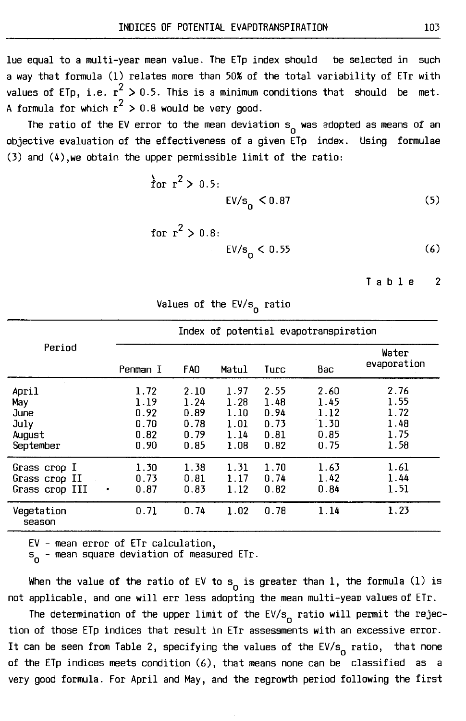lue equal to a multi-year mean value. The ETp index should be selected in such a way that formula (1) relates mare than 50% of the total variability of ETr with values of ETp, i.e.  $r^2 > 0.5$ . This is a minimum conditions that should be met. A formula for which  $r^2 > 0.8$  would be very good.

The ratio of the EV error to the mean deviation s<sub>o</sub> was adopted as means of an objective evaluation of the effectiveness of a given ETp index. Using formulae (3) and (4),we obtain the upper permissible limit of the ratio:

$$
\frac{1}{2} \text{ for } r^2 > 0.5: \text{EV/s}_0 < 0.87 \tag{5}
$$

for 
$$
r^2 > 0.8
$$
:  
EV/s<sub>0</sub> < 0.55 (6)

$$
\mathsf{T} \text{ a b l e } \qquad \mathsf{2}
$$

| Period                                              |   | Index of potential evapotranspiration        |                                              |                                              |                                              |                                              |                                              |  |  |
|-----------------------------------------------------|---|----------------------------------------------|----------------------------------------------|----------------------------------------------|----------------------------------------------|----------------------------------------------|----------------------------------------------|--|--|
|                                                     |   | Penman I                                     | FAO.                                         | Matul                                        | Turc                                         | Bac                                          | Water<br>evaporation                         |  |  |
| April<br>May<br>June<br>July<br>August<br>September |   | 1.72<br>1.19<br>0.92<br>0.70<br>0.82<br>0.90 | 2.10<br>1.24<br>0.89<br>0.78<br>0.79<br>0.85 | 1.97<br>1.28<br>1.10<br>1.01<br>1.14<br>1.08 | 2.55<br>1.48<br>0.94<br>0.73<br>0.81<br>0.82 | 2.60<br>1.45<br>1.12<br>1.30<br>0.85<br>0.75 | 2.76<br>1.55<br>1.72<br>1.48<br>1.75<br>1.58 |  |  |
| Grass crop I<br>Grass crop II<br>Grass crop III     | ٠ | 1.30<br>0.73<br>0.87                         | 1.38<br>0.81<br>0.83                         | 1.31<br>1.17<br>1.12                         | 1.70<br>0.74<br>0.82                         | 1.63<br>1.42<br>0.84                         | 1.61<br>1.44<br>1.51                         |  |  |
| Vegetation<br>season                                |   | 0.71                                         | 0.74                                         | 1.02                                         | 0.78                                         | 1.14                                         | 1.23                                         |  |  |

Values of the EV/s<sub>o</sub> ratio

EV - mean error of ETr calculation,

s<sub>o</sub> – mean square deviation of measured ETr.

When the value of the ratio of EV to  $s_{_{\mathbf{0}}}$  is greater than 1, the formula (1) is not applicable, and one will err less adopting the mean multi-year values of ETr.

The determination of the upper limit of the EV/s<sub>o</sub> ratio will permit the rejection of those ETp indices that result in ETr assessments with an excessive error. It can be seen from Table 2, specifying the values of the EV/s<sub>o</sub> ratio, that none of the ETp indices meets condition (6), that means none can be classified as a very good formula. For April and May, and the regrowth period following the first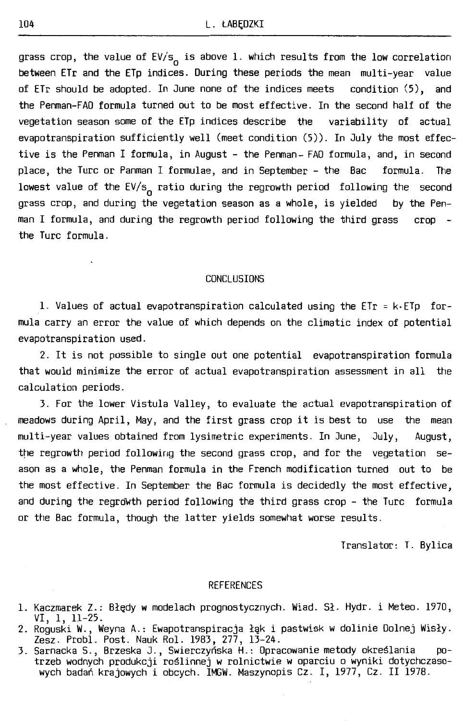grass crop, the value of EV/s<sub>o</sub> is above 1. which results from the low correlation between ETr and the ETp indices. During these periods the mean multi-year value of ETr should be adopted. In June none of the indices meets condition (5), and the Penman-FAO formula turned out to be most effective. In the second half of the vegetation season some of the ETp indices describe  $the$  variability of actual evapotranspiration sufficiently well (meet condition (5)). In July the most effective is the Penman I formula, in August - the Penman- FAO formula, and, in second place, the Turc or Panman I formulae, and in September - the Bac formula. The lowest value of the EV/s<sub>o</sub> ratio during the regrowth period following the second grass crop, and during the vegetation season as a whole, is yielded by the Penman I formula, and during the regrowth period following the third grass crop the Turc formula.

#### CONCLUSIONS

1. Values of actual evapotranspiration calculated using the ETr = k-ETp formula carry an error the value of which depends on the climatic index of potentia! evapotranspiration used.

2. It is not possible to single out one potential evapotranspiration formula that would minimize the error of actual evapotranspiration assessment in all the calculation periods.

3. For the lower Vistula Valley, to evaluate the actual evapotranspiration of meadows during April, May, and the first grass crop it is best to use the mean multi-year values obtained from lysimetric experiments. In June, Jwly, August, the regrowth period following the second grass crop, and for the vegetation seasan as a whole, the Penman formula in the French modification turned out to be the most effective. In September the Bac formula is decidedly the most effective, and during the regrowth period following the third grass crop - the Turc formula or the Bac formula, though the latter yields somewhat worse results.

Translator: T. Bylica

#### REFERENCES

- 1. Kaczmarek Z.: Błędy w modelach prognostycznych. Wiad. Sł. Hydr. i Meteo. 1970, VI, 1, 11-25.
- 2. Roguski **W.,** Weyna A.: Ewapotranspiracja łąk i pastwisk **w** dolinie Dolnej Wisły. Zesz. Probl. Post. Nauk Rol . 1983, 277, 13-24.
- 3. Sarnacka S., Brzeska J., Swierczyńska H.: Opracowanie metody określania potrzeb wodnych produkcji roślinnej w rolnictwie **w** oparciu o wyniki dotychczasowych badań krajowych i obcych. IMGW. Maszynopis Cz. I, 1977, Cz. II 1978.